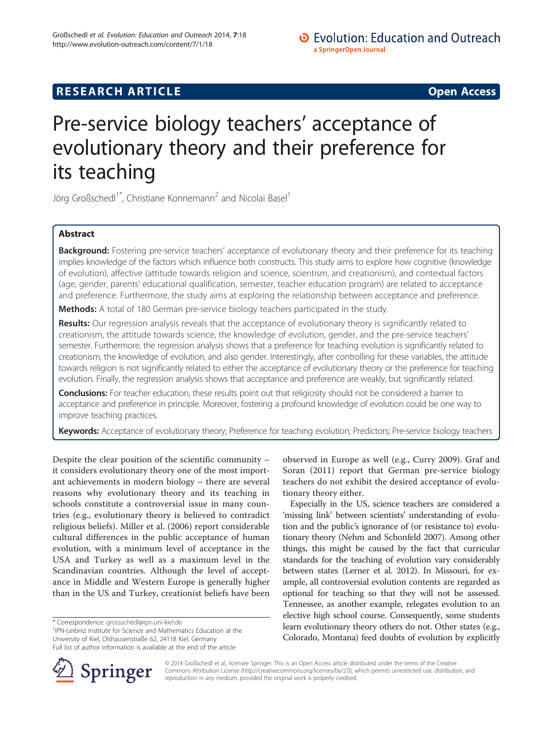## **RESEARCH ARTICLE Example 2014 12:30 The SEAR CH ACCESS**

# Pre-service biology teachers' acceptance of evolutionary theory and their preference for its teaching

Jörg Großschedl<sup>1\*</sup>, Christiane Konnemann<sup>2</sup> and Nicolai Basel<sup>1</sup>

## Abstract

Background: Fostering pre-service teachers' acceptance of evolutionary theory and their preference for its teaching implies knowledge of the factors which influence both constructs. This study aims to explore how cognitive (knowledge of evolution), affective (attitude towards religion and science, scientism, and creationism), and contextual factors (age, gender, parents' educational qualification, semester, teacher education program) are related to acceptance and preference. Furthermore, the study aims at exploring the relationship between acceptance and preference.

Methods: A total of 180 German pre-service biology teachers participated in the study.

Results: Our regression analysis reveals that the acceptance of evolutionary theory is significantly related to creationism, the attitude towards science, the knowledge of evolution, gender, and the pre-service teachers' semester. Furthermore, the regression analysis shows that a preference for teaching evolution is significantly related to creationism, the knowledge of evolution, and also gender. Interestingly, after controlling for these variables, the attitude towards religion is not significantly related to either the acceptance of evolutionary theory or the preference for teaching evolution. Finally, the regression analysis shows that acceptance and preference are weakly, but significantly related.

Conclusions: For teacher education, these results point out that religiosity should not be considered a barrier to acceptance and preference in principle. Moreover, fostering a profound knowledge of evolution could be one way to improve teaching practices.

Keywords: Acceptance of evolutionary theory; Preference for teaching evolution; Predictors; Pre-service biology teachers

Despite the clear position of the scientific community – it considers evolutionary theory one of the most important achievements in modern biology – there are several reasons why evolutionary theory and its teaching in schools constitute a controversial issue in many countries (e.g., evolutionary theory is believed to contradict religious beliefs). Miller et al. ([2006\)](#page-14-0) report considerable cultural differences in the public acceptance of human evolution, with a minimum level of acceptance in the USA and Turkey as well as a maximum level in the Scandinavian countries. Although the level of acceptance in Middle and Western Europe is generally higher than in the US and Turkey, creationist beliefs have been

\* Correspondence: [grossschedl@ipn.uni-kiel.de](mailto:grossschedl@ipn.uni-kiel.de) <sup>1</sup>

<sup>1</sup>IPN-Leibniz Institute for Science and Mathematics Education at the University of Kiel, Olshausenstraße 62, 24118 Kiel, Germany Full list of author information is available at the end of the article

observed in Europe as well (e.g., Curry [2009](#page-14-0)). Graf and Soran [\(2011](#page-14-0)) report that German pre-service biology teachers do not exhibit the desired acceptance of evolutionary theory either.

Especially in the US, science teachers are considered a 'missing link' between scientists' understanding of evolution and the public's ignorance of (or resistance to) evolutionary theory (Nehm and Schonfeld [2007\)](#page-14-0). Among other things, this might be caused by the fact that curricular standards for the teaching of evolution vary considerably between states (Lerner et al. [2012\)](#page-14-0). In Missouri, for example, all controversial evolution contents are regarded as optional for teaching so that they will not be assessed. Tennessee, as another example, relegates evolution to an elective high school course. Consequently, some students learn evolutionary theory others do not. Other states (e.g., Colorado, Montana) feed doubts of evolution by explicitly

© 2014 Großschedl et al., licensee Springer. This is an Open Access article distributed under the terms of the Creative Commons Attribution License (<http://creativecommons.org/licenses/by/2.0>), which permits unrestricted use, distribution, and reproduction in any medium, provided the original work is properly credited.

Springer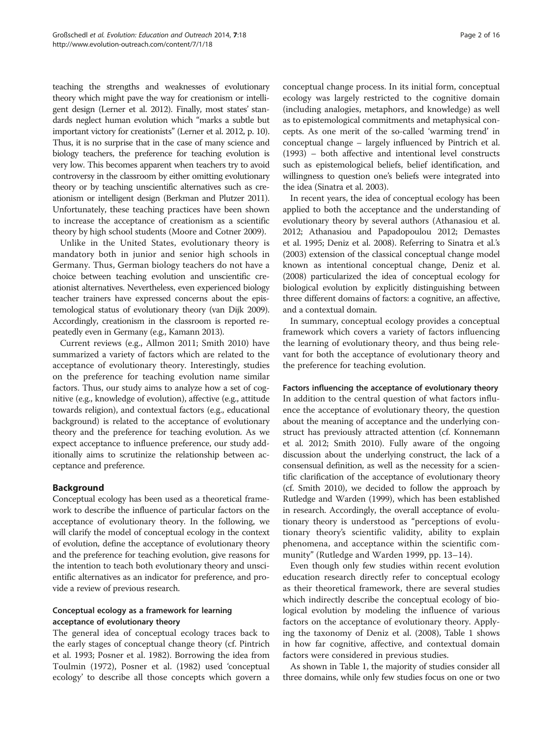teaching the strengths and weaknesses of evolutionary theory which might pave the way for creationism or intelligent design (Lerner et al. [2012](#page-14-0)). Finally, most states' standards neglect human evolution which "marks a subtle but important victory for creationists" (Lerner et al. [2012,](#page-14-0) p. 10). Thus, it is no surprise that in the case of many science and biology teachers, the preference for teaching evolution is very low. This becomes apparent when teachers try to avoid controversy in the classroom by either omitting evolutionary theory or by teaching unscientific alternatives such as creationism or intelligent design (Berkman and Plutzer [2011](#page-14-0)). Unfortunately, these teaching practices have been shown to increase the acceptance of creationism as a scientific theory by high school students (Moore and Cotner [2009\)](#page-14-0).

Unlike in the United States, evolutionary theory is mandatory both in junior and senior high schools in Germany. Thus, German biology teachers do not have a choice between teaching evolution and unscientific creationist alternatives. Nevertheless, even experienced biology teacher trainers have expressed concerns about the epistemological status of evolutionary theory (van Dijk [2009](#page-15-0)). Accordingly, creationism in the classroom is reported repeatedly even in Germany (e.g., Kamann [2013\)](#page-14-0).

Current reviews (e.g., Allmon [2011;](#page-13-0) Smith [2010](#page-15-0)) have summarized a variety of factors which are related to the acceptance of evolutionary theory. Interestingly, studies on the preference for teaching evolution name similar factors. Thus, our study aims to analyze how a set of cognitive (e.g., knowledge of evolution), affective (e.g., attitude towards religion), and contextual factors (e.g., educational background) is related to the acceptance of evolutionary theory and the preference for teaching evolution. As we expect acceptance to influence preference, our study additionally aims to scrutinize the relationship between acceptance and preference.

## Background

Conceptual ecology has been used as a theoretical framework to describe the influence of particular factors on the acceptance of evolutionary theory. In the following, we will clarify the model of conceptual ecology in the context of evolution, define the acceptance of evolutionary theory and the preference for teaching evolution, give reasons for the intention to teach both evolutionary theory and unscientific alternatives as an indicator for preference, and provide a review of previous research.

## Conceptual ecology as a framework for learning acceptance of evolutionary theory

The general idea of conceptual ecology traces back to the early stages of conceptual change theory (cf. Pintrich et al. [1993;](#page-14-0) Posner et al. [1982\)](#page-14-0). Borrowing the idea from Toulmin ([1972](#page-15-0)), Posner et al. [\(1982\)](#page-14-0) used 'conceptual ecology' to describe all those concepts which govern a conceptual change process. In its initial form, conceptual ecology was largely restricted to the cognitive domain (including analogies, metaphors, and knowledge) as well as to epistemological commitments and metaphysical concepts. As one merit of the so-called 'warming trend' in conceptual change – largely influenced by Pintrich et al. ([1993](#page-14-0)) – both affective and intentional level constructs such as epistemological beliefs, belief identification, and willingness to question one's beliefs were integrated into the idea (Sinatra et al. [2003](#page-15-0)).

In recent years, the idea of conceptual ecology has been applied to both the acceptance and the understanding of evolutionary theory by several authors (Athanasiou et al. [2012;](#page-13-0) Athanasiou and Papadopoulou [2012;](#page-13-0) Demastes et al. [1995](#page-14-0); Deniz et al. [2008\)](#page-14-0). Referring to Sinatra et al.'s ([2003](#page-15-0)) extension of the classical conceptual change model known as intentional conceptual change, Deniz et al. ([2008](#page-14-0)) particularized the idea of conceptual ecology for biological evolution by explicitly distinguishing between three different domains of factors: a cognitive, an affective, and a contextual domain.

In summary, conceptual ecology provides a conceptual framework which covers a variety of factors influencing the learning of evolutionary theory, and thus being relevant for both the acceptance of evolutionary theory and the preference for teaching evolution.

## Factors influencing the acceptance of evolutionary theory

In addition to the central question of what factors influence the acceptance of evolutionary theory, the question about the meaning of acceptance and the underlying construct has previously attracted attention (cf. Konnemann et al. [2012;](#page-14-0) Smith [2010\)](#page-15-0). Fully aware of the ongoing discussion about the underlying construct, the lack of a consensual definition, as well as the necessity for a scientific clarification of the acceptance of evolutionary theory (cf. Smith [2010\)](#page-15-0), we decided to follow the approach by Rutledge and Warden [\(1999\)](#page-15-0), which has been established in research. Accordingly, the overall acceptance of evolutionary theory is understood as "perceptions of evolutionary theory's scientific validity, ability to explain phenomena, and acceptance within the scientific community" (Rutledge and Warden [1999](#page-15-0), pp. 13–14).

Even though only few studies within recent evolution education research directly refer to conceptual ecology as their theoretical framework, there are several studies which indirectly describe the conceptual ecology of biological evolution by modeling the influence of various factors on the acceptance of evolutionary theory. Applying the taxonomy of Deniz et al. [\(2008](#page-14-0)), Table [1](#page-2-0) shows in how far cognitive, affective, and contextual domain factors were considered in previous studies.

As shown in Table [1](#page-2-0), the majority of studies consider all three domains, while only few studies focus on one or two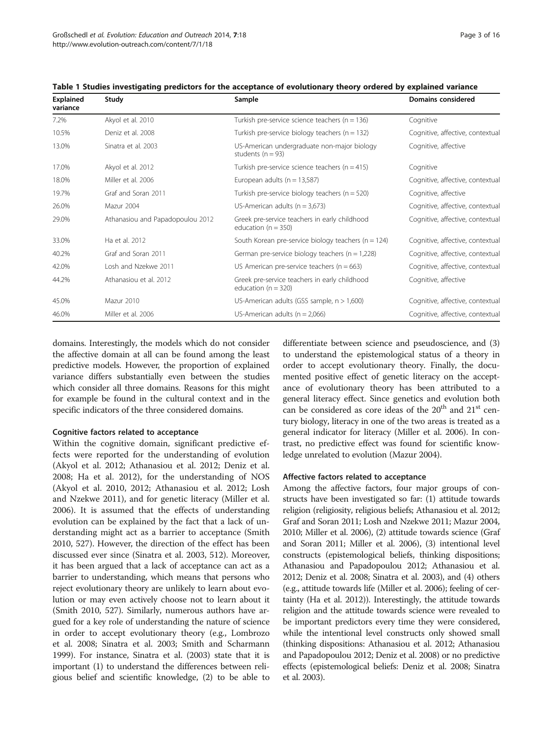| Page 3 of 16 |  |  |
|--------------|--|--|
|              |  |  |

| <b>Explained</b><br>variance | Study                            | Sample                                                                   | Domains considered               |
|------------------------------|----------------------------------|--------------------------------------------------------------------------|----------------------------------|
| 7.2%                         | Akyol et al. 2010                | Turkish pre-service science teachers ( $n = 136$ )                       | Cognitive                        |
| 10.5%                        | Deniz et al. 2008                | Turkish pre-service biology teachers ( $n = 132$ )                       | Cognitive, affective, contextual |
| 13.0%                        | Sinatra et al. 2003              | US-American undergraduate non-major biology<br>students $(n = 93)$       | Cognitive, affective             |
| 17.0%                        | Akyol et al. 2012                | Turkish pre-service science teachers ( $n = 415$ )                       | Cognitive                        |
| 18.0%                        | Miller et al. 2006               | European adults ( $n = 13,587$ )                                         | Cognitive, affective, contextual |
| 19.7%                        | Graf and Soran 2011              | Turkish pre-service biology teachers ( $n = 520$ )                       | Cognitive, affective             |
| 26.0%                        | Mazur 2004                       | US-American adults ( $n = 3,673$ )                                       | Cognitive, affective, contextual |
| 29.0%                        | Athanasiou and Papadopoulou 2012 | Greek pre-service teachers in early childhood<br>education ( $n = 350$ ) | Cognitive, affective, contextual |
| 33.0%                        | Ha et al. 2012                   | South Korean pre-service biology teachers ( $n = 124$ )                  | Cognitive, affective, contextual |
| 40.2%                        | Graf and Soran 2011              | German pre-service biology teachers ( $n = 1,228$ )                      | Cognitive, affective, contextual |
| 42.0%                        | Losh and Nzekwe 2011             | US American pre-service teachers ( $n = 663$ )                           | Cognitive, affective, contextual |
| 44.2%                        | Athanasiou et al. 2012           | Greek pre-service teachers in early childhood<br>education ( $n = 320$ ) | Cognitive, affective             |
| 45.0%                        | Mazur 2010                       | US-American adults (GSS sample, $n > 1,600$ )                            | Cognitive, affective, contextual |
| 46.0%                        | Miller et al. 2006               | US-American adults ( $n = 2,066$ )                                       | Cognitive, affective, contextual |

<span id="page-2-0"></span>Table 1 Studies investigating predictors for the acceptance of evolutionary theory ordered by explained variance

domains. Interestingly, the models which do not consider the affective domain at all can be found among the least predictive models. However, the proportion of explained variance differs substantially even between the studies which consider all three domains. Reasons for this might for example be found in the cultural context and in the specific indicators of the three considered domains.

### Cognitive factors related to acceptance

Within the cognitive domain, significant predictive effects were reported for the understanding of evolution (Akyol et al. [2012;](#page-13-0) Athanasiou et al. [2012](#page-13-0); Deniz et al. [2008](#page-14-0); Ha et al. [2012\)](#page-14-0), for the understanding of NOS (Akyol et al. [2010](#page-13-0), [2012](#page-13-0); Athanasiou et al. [2012](#page-13-0); Losh and Nzekwe [2011\)](#page-14-0), and for genetic literacy (Miller et al. [2006](#page-14-0)). It is assumed that the effects of understanding evolution can be explained by the fact that a lack of understanding might act as a barrier to acceptance (Smith [2010](#page-15-0), 527). However, the direction of the effect has been discussed ever since (Sinatra et al. [2003](#page-15-0), 512). Moreover, it has been argued that a lack of acceptance can act as a barrier to understanding, which means that persons who reject evolutionary theory are unlikely to learn about evolution or may even actively choose not to learn about it (Smith [2010,](#page-15-0) 527). Similarly, numerous authors have argued for a key role of understanding the nature of science in order to accept evolutionary theory (e.g., Lombrozo et al. [2008;](#page-14-0) Sinatra et al. [2003;](#page-15-0) Smith and Scharmann [1999\)](#page-15-0). For instance, Sinatra et al. [\(2003](#page-15-0)) state that it is important (1) to understand the differences between religious belief and scientific knowledge, (2) to be able to differentiate between science and pseudoscience, and (3) to understand the epistemological status of a theory in order to accept evolutionary theory. Finally, the documented positive effect of genetic literacy on the acceptance of evolutionary theory has been attributed to a general literacy effect. Since genetics and evolution both can be considered as core ideas of the  $20<sup>th</sup>$  and  $21<sup>st</sup>$  century biology, literacy in one of the two areas is treated as a general indicator for literacy (Miller et al. [2006](#page-14-0)). In contrast, no predictive effect was found for scientific knowledge unrelated to evolution (Mazur [2004\)](#page-14-0).

#### Affective factors related to acceptance

Among the affective factors, four major groups of constructs have been investigated so far: (1) attitude towards religion (religiosity, religious beliefs; Athanasiou et al. [2012](#page-13-0); Graf and Soran [2011;](#page-14-0) Losh and Nzekwe [2011;](#page-14-0) Mazur [2004](#page-14-0), [2010;](#page-14-0) Miller et al. [2006\)](#page-14-0), (2) attitude towards science (Graf and Soran [2011](#page-14-0); Miller et al. [2006\)](#page-14-0), (3) intentional level constructs (epistemological beliefs, thinking dispositions; Athanasiou and Papadopoulou [2012;](#page-13-0) Athanasiou et al. [2012;](#page-13-0) Deniz et al. [2008;](#page-14-0) Sinatra et al. [2003\)](#page-15-0), and (4) others (e.g., attitude towards life (Miller et al. [2006\)](#page-14-0); feeling of certainty (Ha et al. [2012](#page-14-0))). Interestingly, the attitude towards religion and the attitude towards science were revealed to be important predictors every time they were considered, while the intentional level constructs only showed small (thinking dispositions: Athanasiou et al. [2012;](#page-13-0) Athanasiou and Papadopoulou [2012](#page-13-0); Deniz et al. [2008](#page-14-0)) or no predictive effects (epistemological beliefs: Deniz et al. [2008;](#page-14-0) Sinatra et al. [2003\)](#page-15-0).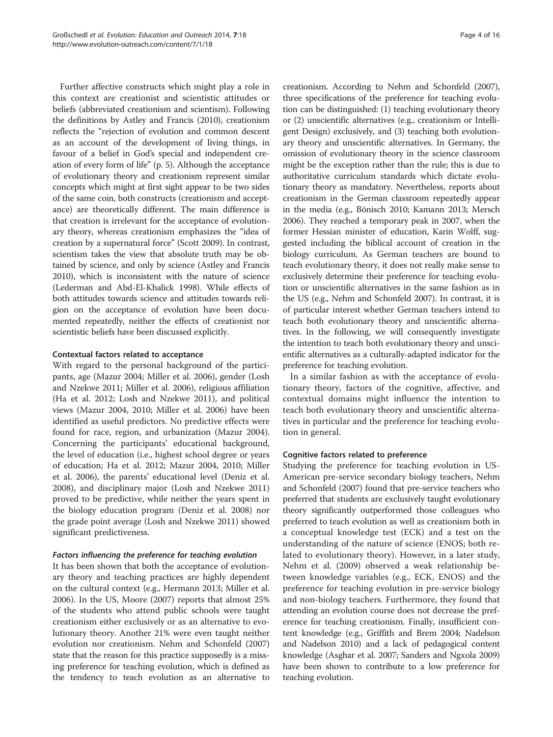Further affective constructs which might play a role in this context are creationist and scientistic attitudes or beliefs (abbreviated creationism and scientism). Following the definitions by Astley and Francis [\(2010\)](#page-13-0), creationism reflects the "rejection of evolution and common descent as an account of the development of living things, in favour of a belief in God's special and independent creation of every form of life" (p. 5). Although the acceptance of evolutionary theory and creationism represent similar concepts which might at first sight appear to be two sides of the same coin, both constructs (creationism and acceptance) are theoretically different. The main difference is that creation is irrelevant for the acceptance of evolutionary theory, whereas creationism emphasizes the "idea of creation by a supernatural force" (Scott [2009](#page-15-0)). In contrast, scientism takes the view that absolute truth may be obtained by science, and only by science (Astley and Francis [2010\)](#page-13-0), which is inconsistent with the nature of science (Lederman and Abd-El-Khalick [1998](#page-14-0)). While effects of both attitudes towards science and attitudes towards religion on the acceptance of evolution have been documented repeatedly, neither the effects of creationist nor scientistic beliefs have been discussed explicitly.

## Contextual factors related to acceptance

With regard to the personal background of the participants, age (Mazur [2004](#page-14-0); Miller et al. [2006\)](#page-14-0), gender (Losh and Nzekwe [2011;](#page-14-0) Miller et al. [2006\)](#page-14-0), religious affiliation (Ha et al. [2012;](#page-14-0) Losh and Nzekwe [2011\)](#page-14-0), and political views (Mazur [2004](#page-14-0), [2010](#page-14-0); Miller et al. [2006\)](#page-14-0) have been identified as useful predictors. No predictive effects were found for race, region, and urbanization (Mazur [2004](#page-14-0)). Concerning the participants' educational background, the level of education (i.e., highest school degree or years of education; Ha et al. [2012](#page-14-0); Mazur [2004](#page-14-0), [2010](#page-14-0); Miller et al. [2006](#page-14-0)), the parents' educational level (Deniz et al. [2008](#page-14-0)), and disciplinary major (Losh and Nzekwe [2011](#page-14-0)) proved to be predictive, while neither the years spent in the biology education program (Deniz et al. [2008\)](#page-14-0) nor the grade point average (Losh and Nzekwe [2011\)](#page-14-0) showed significant predictiveness.

## Factors influencing the preference for teaching evolution

It has been shown that both the acceptance of evolutionary theory and teaching practices are highly dependent on the cultural context (e.g., Hermann [2013;](#page-14-0) Miller et al. [2006](#page-14-0)). In the US, Moore [\(2007\)](#page-14-0) reports that almost 25% of the students who attend public schools were taught creationism either exclusively or as an alternative to evolutionary theory. Another 21% were even taught neither evolution nor creationism. Nehm and Schonfeld ([2007](#page-14-0)) state that the reason for this practice supposedly is a missing preference for teaching evolution, which is defined as the tendency to teach evolution as an alternative to

creationism. According to Nehm and Schonfeld [\(2007](#page-14-0)), three specifications of the preference for teaching evolution can be distinguished: (1) teaching evolutionary theory or (2) unscientific alternatives (e.g., creationism or Intelligent Design) exclusively, and (3) teaching both evolutionary theory and unscientific alternatives. In Germany, the omission of evolutionary theory in the science classroom might be the exception rather than the rule; this is due to authoritative curriculum standards which dictate evolutionary theory as mandatory. Nevertheless, reports about creationism in the German classroom repeatedly appear in the media (e.g., Bönisch [2010;](#page-14-0) Kamann [2013](#page-14-0); Mersch [2006\)](#page-14-0). They reached a temporary peak in 2007, when the former Hessian minister of education, Karin Wolff, suggested including the biblical account of creation in the biology curriculum. As German teachers are bound to teach evolutionary theory, it does not really make sense to exclusively determine their preference for teaching evolution or unscientific alternatives in the same fashion as in the US (e.g., Nehm and Schonfeld [2007\)](#page-14-0). In contrast, it is of particular interest whether German teachers intend to teach both evolutionary theory and unscientific alternatives. In the following, we will consequently investigate the intention to teach both evolutionary theory and unscientific alternatives as a culturally-adapted indicator for the preference for teaching evolution.

In a similar fashion as with the acceptance of evolutionary theory, factors of the cognitive, affective, and contextual domains might influence the intention to teach both evolutionary theory and unscientific alternatives in particular and the preference for teaching evolution in general.

## Cognitive factors related to preference

Studying the preference for teaching evolution in US-American pre-service secondary biology teachers, Nehm and Schonfeld [\(2007](#page-14-0)) found that pre-service teachers who preferred that students are exclusively taught evolutionary theory significantly outperformed those colleagues who preferred to teach evolution as well as creationism both in a conceptual knowledge test (ECK) and a test on the understanding of the nature of science (ENOS; both related to evolutionary theory). However, in a later study, Nehm et al. ([2009\)](#page-14-0) observed a weak relationship between knowledge variables (e.g., ECK, ENOS) and the preference for teaching evolution in pre-service biology and non-biology teachers. Furthermore, they found that attending an evolution course does not decrease the preference for teaching creationism. Finally, insufficient content knowledge (e.g., Griffith and Brem [2004](#page-14-0); Nadelson and Nadelson [2010](#page-14-0)) and a lack of pedagogical content knowledge (Asghar et al. [2007](#page-13-0); Sanders and Ngxola [2009](#page-15-0)) have been shown to contribute to a low preference for teaching evolution.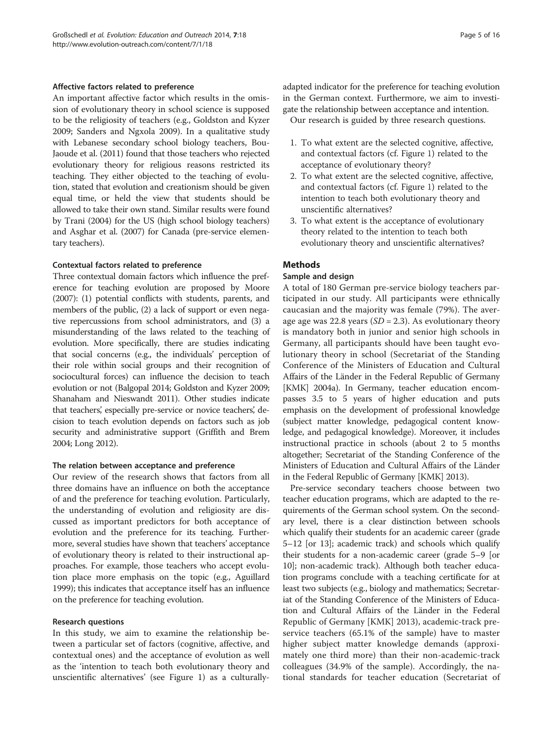#### Affective factors related to preference

An important affective factor which results in the omission of evolutionary theory in school science is supposed to be the religiosity of teachers (e.g., Goldston and Kyzer [2009](#page-14-0); Sanders and Ngxola [2009](#page-15-0)). In a qualitative study with Lebanese secondary school biology teachers, Bou-Jaoude et al. ([2011\)](#page-14-0) found that those teachers who rejected evolutionary theory for religious reasons restricted its teaching. They either objected to the teaching of evolution, stated that evolution and creationism should be given equal time, or held the view that students should be allowed to take their own stand. Similar results were found by Trani ([2004](#page-15-0)) for the US (high school biology teachers) and Asghar et al. [\(2007\)](#page-13-0) for Canada (pre-service elementary teachers).

#### Contextual factors related to preference

Three contextual domain factors which influence the preference for teaching evolution are proposed by Moore ([2007\)](#page-14-0): (1) potential conflicts with students, parents, and members of the public, (2) a lack of support or even negative repercussions from school administrators, and (3) a misunderstanding of the laws related to the teaching of evolution. More specifically, there are studies indicating that social concerns (e.g., the individuals' perception of their role within social groups and their recognition of sociocultural forces) can influence the decision to teach evolution or not (Balgopal [2014](#page-13-0); Goldston and Kyzer [2009](#page-14-0); Shanaham and Nieswandt [2011\)](#page-15-0). Other studies indicate that teachers', especially pre-service or novice teachers', decision to teach evolution depends on factors such as job security and administrative support (Griffith and Brem [2004;](#page-14-0) Long [2012](#page-14-0)).

#### The relation between acceptance and preference

Our review of the research shows that factors from all three domains have an influence on both the acceptance of and the preference for teaching evolution. Particularly, the understanding of evolution and religiosity are discussed as important predictors for both acceptance of evolution and the preference for its teaching. Furthermore, several studies have shown that teachers' acceptance of evolutionary theory is related to their instructional approaches. For example, those teachers who accept evolution place more emphasis on the topic (e.g., Aguillard [1999\)](#page-13-0); this indicates that acceptance itself has an influence on the preference for teaching evolution.

#### Research questions

In this study, we aim to examine the relationship between a particular set of factors (cognitive, affective, and contextual ones) and the acceptance of evolution as well as the 'intention to teach both evolutionary theory and unscientific alternatives' (see Figure [1](#page-5-0)) as a culturallyadapted indicator for the preference for teaching evolution in the German context. Furthermore, we aim to investigate the relationship between acceptance and intention. Our research is guided by three research questions.

- 1. To what extent are the selected cognitive, affective, and contextual factors (cf. Figure [1](#page-5-0)) related to the acceptance of evolutionary theory?
- 2. To what extent are the selected cognitive, affective, and contextual factors (cf. Figure [1](#page-5-0)) related to the intention to teach both evolutionary theory and unscientific alternatives?
- 3. To what extent is the acceptance of evolutionary theory related to the intention to teach both evolutionary theory and unscientific alternatives?

## **Methods**

#### Sample and design

A total of 180 German pre-service biology teachers participated in our study. All participants were ethnically caucasian and the majority was female (79%). The average age was 22.8 years  $(SD = 2.3)$ . As evolutionary theory is mandatory both in junior and senior high schools in Germany, all participants should have been taught evolutionary theory in school (Secretariat of the Standing Conference of the Ministers of Education and Cultural Affairs of the Länder in the Federal Republic of Germany [KMK] [2004a](#page-15-0)). In Germany, teacher education encompasses 3.5 to 5 years of higher education and puts emphasis on the development of professional knowledge (subject matter knowledge, pedagogical content knowledge, and pedagogical knowledge). Moreover, it includes instructional practice in schools (about 2 to 5 months altogether; Secretariat of the Standing Conference of the Ministers of Education and Cultural Affairs of the Länder in the Federal Republic of Germany [KMK] [2013\)](#page-15-0).

Pre-service secondary teachers choose between two teacher education programs, which are adapted to the requirements of the German school system. On the secondary level, there is a clear distinction between schools which qualify their students for an academic career (grade 5–12 [or 13]; academic track) and schools which qualify their students for a non-academic career (grade 5–9 [or 10]; non-academic track). Although both teacher education programs conclude with a teaching certificate for at least two subjects (e.g., biology and mathematics; Secretariat of the Standing Conference of the Ministers of Education and Cultural Affairs of the Länder in the Federal Republic of Germany [KMK] [2013](#page-15-0)), academic-track preservice teachers (65.1% of the sample) have to master higher subject matter knowledge demands (approximately one third more) than their non-academic-track colleagues (34.9% of the sample). Accordingly, the national standards for teacher education (Secretariat of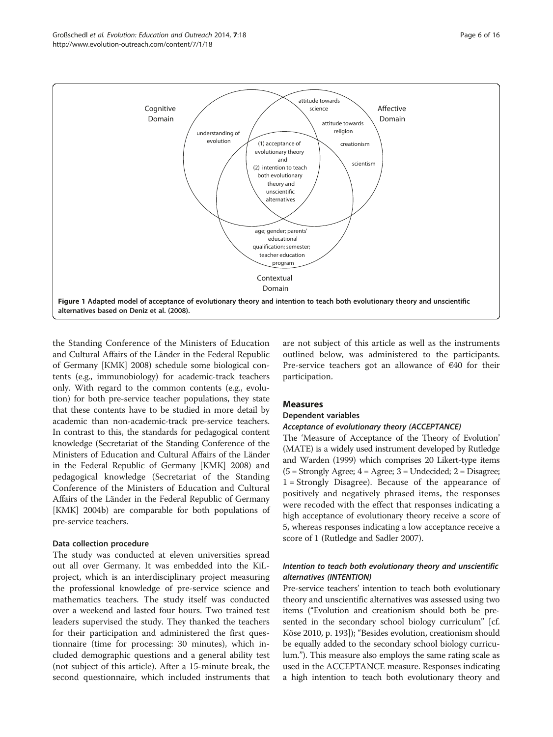<span id="page-5-0"></span>

the Standing Conference of the Ministers of Education and Cultural Affairs of the Länder in the Federal Republic of Germany [KMK] [2008](#page-15-0)) schedule some biological contents (e.g., immunobiology) for academic-track teachers only. With regard to the common contents (e.g., evolution) for both pre-service teacher populations, they state that these contents have to be studied in more detail by academic than non-academic-track pre-service teachers. In contrast to this, the standards for pedagogical content knowledge (Secretariat of the Standing Conference of the Ministers of Education and Cultural Affairs of the Länder in the Federal Republic of Germany [KMK] [2008\)](#page-15-0) and pedagogical knowledge (Secretariat of the Standing Conference of the Ministers of Education and Cultural Affairs of the Länder in the Federal Republic of Germany [KMK] [2004b](#page-15-0)) are comparable for both populations of pre-service teachers.

#### Data collection procedure

The study was conducted at eleven universities spread out all over Germany. It was embedded into the KiLproject, which is an interdisciplinary project measuring the professional knowledge of pre-service science and mathematics teachers. The study itself was conducted over a weekend and lasted four hours. Two trained test leaders supervised the study. They thanked the teachers for their participation and administered the first questionnaire (time for processing: 30 minutes), which included demographic questions and a general ability test (not subject of this article). After a 15-minute break, the second questionnaire, which included instruments that are not subject of this article as well as the instruments outlined below, was administered to the participants. Pre-service teachers got an allowance of  $€40$  for their participation.

#### Measures

#### Dependent variables

#### Acceptance of evolutionary theory (ACCEPTANCE)

The 'Measure of Acceptance of the Theory of Evolution' (MATE) is a widely used instrument developed by Rutledge and Warden ([1999](#page-15-0)) which comprises 20 Likert-type items  $(5 =$  Strongly Agree;  $4 =$  Agree;  $3 =$  Undecided;  $2 =$  Disagree; 1 = Strongly Disagree). Because of the appearance of positively and negatively phrased items, the responses were recoded with the effect that responses indicating a high acceptance of evolutionary theory receive a score of 5, whereas responses indicating a low acceptance receive a score of 1 (Rutledge and Sadler [2007](#page-14-0)).

## Intention to teach both evolutionary theory and unscientific alternatives (INTENTION)

Pre-service teachers' intention to teach both evolutionary theory and unscientific alternatives was assessed using two items ("Evolution and creationism should both be presented in the secondary school biology curriculum" [cf. Köse [2010](#page-14-0), p. 193]); "Besides evolution, creationism should be equally added to the secondary school biology curriculum."). This measure also employs the same rating scale as used in the ACCEPTANCE measure. Responses indicating a high intention to teach both evolutionary theory and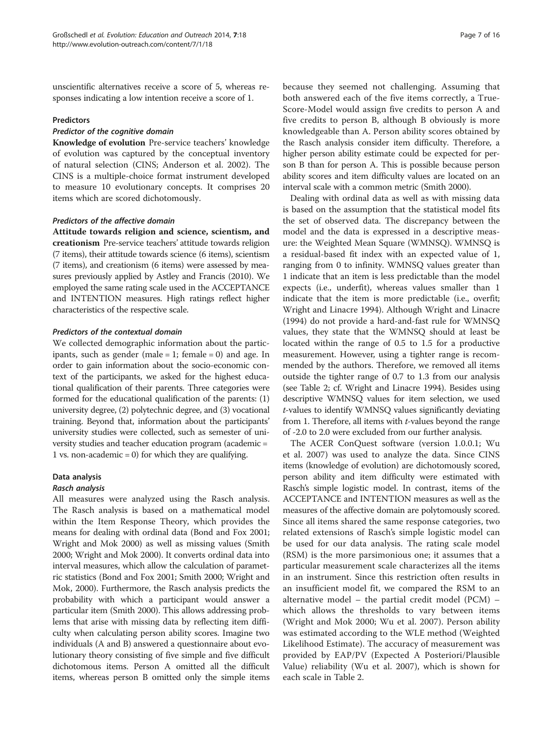unscientific alternatives receive a score of 5, whereas responses indicating a low intention receive a score of 1.

#### Predictors

### Predictor of the cognitive domain

Knowledge of evolution Pre-service teachers' knowledge of evolution was captured by the conceptual inventory of natural selection (CINS; Anderson et al. [2002\)](#page-13-0). The CINS is a multiple-choice format instrument developed to measure 10 evolutionary concepts. It comprises 20 items which are scored dichotomously.

#### Predictors of the affective domain

Attitude towards religion and science, scientism, and creationism Pre-service teachers' attitude towards religion (7 items), their attitude towards science (6 items), scientism (7 items), and creationism (6 items) were assessed by measures previously applied by Astley and Francis [\(2010\)](#page-13-0). We employed the same rating scale used in the ACCEPTANCE and INTENTION measures. High ratings reflect higher characteristics of the respective scale.

#### Predictors of the contextual domain

We collected demographic information about the participants, such as gender (male = 1; female = 0) and age. In order to gain information about the socio-economic context of the participants, we asked for the highest educational qualification of their parents. Three categories were formed for the educational qualification of the parents: (1) university degree, (2) polytechnic degree, and (3) vocational training. Beyond that, information about the participants' university studies were collected, such as semester of university studies and teacher education program (academic = 1 vs. non-academic  $= 0$ ) for which they are qualifying.

#### Data analysis

#### Rasch analysis

All measures were analyzed using the Rasch analysis. The Rasch analysis is based on a mathematical model within the Item Response Theory, which provides the means for dealing with ordinal data (Bond and Fox [2001](#page-14-0); Wright and Mok [2000](#page-15-0)) as well as missing values (Smith [2000;](#page-15-0) Wright and Mok [2000\)](#page-15-0). It converts ordinal data into interval measures, which allow the calculation of parametric statistics (Bond and Fox [2001](#page-14-0); Smith [2000](#page-15-0); Wright and Mok, [2000\)](#page-15-0). Furthermore, the Rasch analysis predicts the probability with which a participant would answer a particular item (Smith [2000](#page-15-0)). This allows addressing problems that arise with missing data by reflecting item difficulty when calculating person ability scores. Imagine two individuals (A and B) answered a questionnaire about evolutionary theory consisting of five simple and five difficult dichotomous items. Person A omitted all the difficult items, whereas person B omitted only the simple items

because they seemed not challenging. Assuming that both answered each of the five items correctly, a True-Score-Model would assign five credits to person A and five credits to person B, although B obviously is more knowledgeable than A. Person ability scores obtained by the Rasch analysis consider item difficulty. Therefore, a higher person ability estimate could be expected for person B than for person A. This is possible because person ability scores and item difficulty values are located on an interval scale with a common metric (Smith [2000](#page-15-0)).

Dealing with ordinal data as well as with missing data is based on the assumption that the statistical model fits the set of observed data. The discrepancy between the model and the data is expressed in a descriptive measure: the Weighted Mean Square (WMNSQ). WMNSQ is a residual-based fit index with an expected value of 1, ranging from 0 to infinity. WMNSQ values greater than 1 indicate that an item is less predictable than the model expects (i.e., underfit), whereas values smaller than 1 indicate that the item is more predictable (i.e., overfit; Wright and Linacre [1994](#page-15-0)). Although Wright and Linacre ([1994\)](#page-15-0) do not provide a hard-and-fast rule for WMNSQ values, they state that the WMNSQ should at least be located within the range of 0.5 to 1.5 for a productive measurement. However, using a tighter range is recommended by the authors. Therefore, we removed all items outside the tighter range of 0.7 to 1.3 from our analysis (see Table [2](#page-7-0); cf. Wright and Linacre [1994](#page-15-0)). Besides using descriptive WMNSQ values for item selection, we used t-values to identify WMNSQ values significantly deviating from 1. Therefore, all items with  $t$ -values beyond the range of -2.0 to 2.0 were excluded from our further analysis.

The ACER ConQuest software (version 1.0.0.1; Wu et al. [2007](#page-15-0)) was used to analyze the data. Since CINS items (knowledge of evolution) are dichotomously scored, person ability and item difficulty were estimated with Rasch's simple logistic model. In contrast, items of the ACCEPTANCE and INTENTION measures as well as the measures of the affective domain are polytomously scored. Since all items shared the same response categories, two related extensions of Rasch's simple logistic model can be used for our data analysis. The rating scale model (RSM) is the more parsimonious one; it assumes that a particular measurement scale characterizes all the items in an instrument. Since this restriction often results in an insufficient model fit, we compared the RSM to an alternative model – the partial credit model (PCM) – which allows the thresholds to vary between items (Wright and Mok [2000](#page-15-0); Wu et al. [2007](#page-15-0)). Person ability was estimated according to the WLE method (Weighted Likelihood Estimate). The accuracy of measurement was provided by EAP/PV (Expected A Posteriori/Plausible Value) reliability (Wu et al. [2007](#page-15-0)), which is shown for each scale in Table [2.](#page-7-0)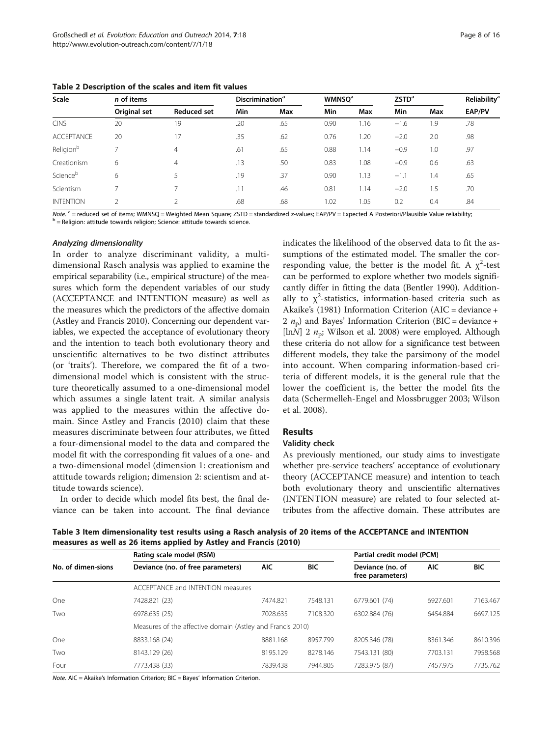<span id="page-7-0"></span>

|  |  | Table 2 Description of the scales and item fit values |  |  |  |  |  |  |  |
|--|--|-------------------------------------------------------|--|--|--|--|--|--|--|
|--|--|-------------------------------------------------------|--|--|--|--|--|--|--|

| Scale                 | n of items   |                    |     | <b>Discrimination<sup>a</sup></b> |      | <b>WMNSQ<sup>a</sup></b> |            | ZSTD <sup>a</sup> |        |
|-----------------------|--------------|--------------------|-----|-----------------------------------|------|--------------------------|------------|-------------------|--------|
|                       | Original set | <b>Reduced set</b> | Min | Max                               | Min  | Max                      | <b>Min</b> | Max               | EAP/PV |
| <b>CINS</b>           | 20           | 19                 | .20 | .65                               | 0.90 | 1.16                     | $-1.6$     | 1.9               | .78    |
| <b>ACCEPTANCE</b>     | 20           | 17                 | .35 | .62                               | 0.76 | .20                      | $-2.0$     | 2.0               | .98    |
| Religion <sup>b</sup> |              | $\overline{4}$     | .61 | .65                               | 0.88 | 1.14                     | $-0.9$     | 1.0               | .97    |
| Creationism           | 6            | 4                  | .13 | .50                               | 0.83 | 1.08                     | $-0.9$     | 0.6               | .63    |
| Scienceb              | 6            | 5                  | .19 | .37                               | 0.90 | 1.13                     | $-1.1$     | 1.4               | .65    |
| Scientism             |              |                    | .11 | .46                               | 0.81 | 1.14                     | $-2.0$     | 1.5               | .70    |
| <b>INTENTION</b>      |              | h                  | .68 | .68                               | 1.02 | 1.05                     | 0.2        | 0.4               | .84    |

Note.  $a$  = reduced set of items; WMNSQ = Weighted Mean Square; ZSTD = standardized z-values; EAP/PV = Expected A Posteriori/Plausible Value reliability;<br>b = Religion: attitude towards religion; Science: attitude towards

#### Analyzing dimensionality

In order to analyze discriminant validity, a multidimensional Rasch analysis was applied to examine the empirical separability (i.e., empirical structure) of the measures which form the dependent variables of our study (ACCEPTANCE and INTENTION measure) as well as the measures which the predictors of the affective domain (Astley and Francis [2010\)](#page-13-0). Concerning our dependent variables, we expected the acceptance of evolutionary theory and the intention to teach both evolutionary theory and unscientific alternatives to be two distinct attributes (or 'traits'). Therefore, we compared the fit of a twodimensional model which is consistent with the structure theoretically assumed to a one-dimensional model which assumes a single latent trait. A similar analysis was applied to the measures within the affective domain. Since Astley and Francis ([2010](#page-13-0)) claim that these measures discriminate between four attributes, we fitted a four-dimensional model to the data and compared the model fit with the corresponding fit values of a one- and a two-dimensional model (dimension 1: creationism and attitude towards religion; dimension 2: scientism and attitude towards science).

In order to decide which model fits best, the final deviance can be taken into account. The final deviance

indicates the likelihood of the observed data to fit the assumptions of the estimated model. The smaller the corresponding value, the better is the model fit. A  $\chi^2$ -test can be performed to explore whether two models significantly differ in fitting the data (Bentler [1990\)](#page-14-0). Additionally to  $\chi^2$ -statistics, information-based criteria such as Akaike's ([1981](#page-13-0)) Information Criterion (AIC = deviance + 2  $n_p$ ) and Bayes' Information Criterion (BIC = deviance + [lnN] 2  $n_{\rm p}$ ; Wilson et al. [2008](#page-15-0)) were employed. Although these criteria do not allow for a significance test between different models, they take the parsimony of the model into account. When comparing information-based criteria of different models, it is the general rule that the lower the coefficient is, the better the model fits the data (Schermelleh-Engel and Mossbrugger [2003;](#page-15-0) Wilson et al. [2008](#page-15-0)).

## Results

## Validity check

As previously mentioned, our study aims to investigate whether pre-service teachers' acceptance of evolutionary theory (ACCEPTANCE measure) and intention to teach both evolutionary theory and unscientific alternatives (INTENTION measure) are related to four selected attributes from the affective domain. These attributes are

Table 3 Item dimensionality test results using a Rasch analysis of 20 items of the ACCEPTANCE and INTENTION measures as well as 26 items applied by Astley and Francis ([2010\)](#page-13-0)

|                    | Rating scale model (RSM)                                   | Partial credit model (PCM) |            |                                      |            |            |
|--------------------|------------------------------------------------------------|----------------------------|------------|--------------------------------------|------------|------------|
| No. of dimen-sions | Deviance (no. of free parameters)                          | <b>AIC</b>                 | <b>BIC</b> | Deviance (no. of<br>free parameters) | <b>AIC</b> | <b>BIC</b> |
|                    | ACCEPTANCE and INTENTION measures                          |                            |            |                                      |            |            |
| One                | 7428.821 (23)                                              | 7474.821                   | 7548.131   | 6779.601 (74)                        | 6927.601   | 7163.467   |
| Two                | 6978.635 (25)                                              | 7028.635                   | 7108.320   | 6302.884 (76)                        | 6454.884   | 6697.125   |
|                    | Measures of the affective domain (Astley and Francis 2010) |                            |            |                                      |            |            |
| One                | 8833.168 (24)                                              | 8881.168                   | 8957.799   | 8205.346 (78)                        | 8361.346   | 8610.396   |
| Two                | 8143.129 (26)                                              | 8195.129                   | 8278.146   | 7543.131 (80)                        | 7703.131   | 7958.568   |
| Four               | 7773.438 (33)                                              | 7839.438                   | 7944.805   | 7283.975 (87)                        | 7457.975   | 7735.762   |

Note. AIC = Akaike's Information Criterion; BIC = Bayes' Information Criterion.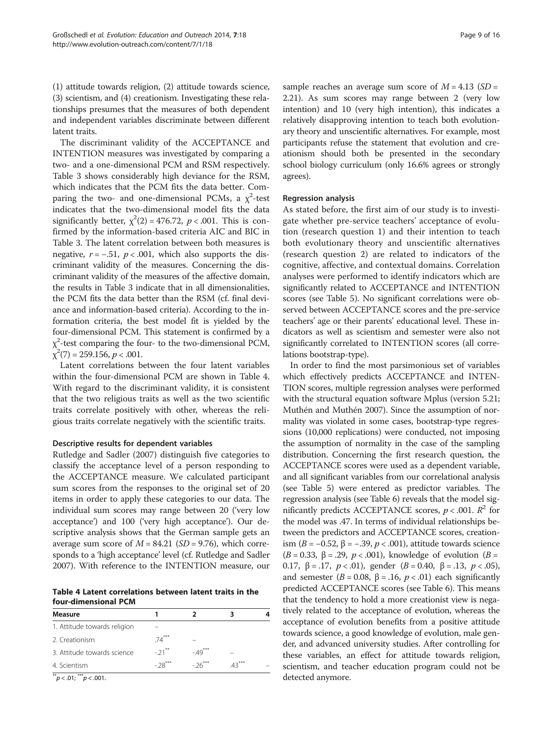(1) attitude towards religion, (2) attitude towards science, (3) scientism, and (4) creationism. Investigating these relationships presumes that the measures of both dependent and independent variables discriminate between different latent traits.

The discriminant validity of the ACCEPTANCE and INTENTION measures was investigated by comparing a two- and a one-dimensional PCM and RSM respectively. Table [3](#page-7-0) shows considerably high deviance for the RSM, which indicates that the PCM fits the data better. Comparing the two- and one-dimensional PCMs, a  $\chi^2$ -test indicates that the two-dimensional model fits the data significantly better,  $\chi^2(2) = 476.72$ ,  $p < .001$ . This is confirmed by the information-based criteria AIC and BIC in Table [3.](#page-7-0) The latent correlation between both measures is negative,  $r = -0.51$ ,  $p < 0.001$ , which also supports the discriminant validity of the measures. Concerning the discriminant validity of the measures of the affective domain, the results in Table [3](#page-7-0) indicate that in all dimensionalities, the PCM fits the data better than the RSM (cf. final deviance and information-based criteria). According to the information criteria, the best model fit is yielded by the four-dimensional PCM. This statement is confirmed by a  $\chi^2$ -test comparing the four- to the two-dimensional PCM,  $\chi^2(7) = 259.156, p < .001.$ 

Latent correlations between the four latent variables within the four-dimensional PCM are shown in Table 4. With regard to the discriminant validity, it is consistent that the two religious traits as well as the two scientific traits correlate positively with other, whereas the religious traits correlate negatively with the scientific traits.

#### Descriptive results for dependent variables

Rutledge and Sadler [\(2007\)](#page-14-0) distinguish five categories to classify the acceptance level of a person responding to the ACCEPTANCE measure. We calculated participant sum scores from the responses to the original set of 20 items in order to apply these categories to our data. The individual sum scores may range between 20 ('very low acceptance') and 100 ('very high acceptance'). Our descriptive analysis shows that the German sample gets an average sum score of  $M = 84.21$  (SD = 9.76), which corresponds to a 'high acceptance' level (cf. Rutledge and Sadler [2007\)](#page-14-0). With reference to the INTENTION measure, our

Table 4 Latent correlations between latent traits in the four-dimensional PCM

| ***<br>74 |                |       |  |
|-----------|----------------|-------|--|
| $-21$     | $***$<br>$-49$ |       |  |
| $-28***$  | $-26$          | $***$ |  |
|           |                |       |  |

 $p < .01;$   $p < .001$ .

sample reaches an average sum score of  $M = 4.13$  (SD = 2.21). As sum scores may range between 2 (very low intention) and 10 (very high intention), this indicates a relatively disapproving intention to teach both evolutionary theory and unscientific alternatives. For example, most participants refuse the statement that evolution and creationism should both be presented in the secondary school biology curriculum (only 16.6% agrees or strongly agrees).

## Regression analysis

As stated before, the first aim of our study is to investigate whether pre-service teachers' acceptance of evolution (research question 1) and their intention to teach both evolutionary theory and unscientific alternatives (research question 2) are related to indicators of the cognitive, affective, and contextual domains. Correlation analyses were performed to identify indicators which are significantly related to ACCEPTANCE and INTENTION scores (see Table [5\)](#page-9-0). No significant correlations were observed between ACCEPTANCE scores and the pre-service teachers' age or their parents' educational level. These indicators as well as scientism and semester were also not significantly correlated to INTENTION scores (all correlations bootstrap-type).

In order to find the most parsimonious set of variables which effectively predicts ACCEPTANCE and INTEN-TION scores, multiple regression analyses were performed with the structural equation software Mplus (version 5.21; Muthén and Muthén [2007\)](#page-14-0). Since the assumption of normality was violated in some cases, bootstrap-type regressions (10,000 replications) were conducted, not imposing the assumption of normality in the case of the sampling distribution. Concerning the first research question, the ACCEPTANCE scores were used as a dependent variable, and all significant variables from our correlational analysis (see Table [5\)](#page-9-0) were entered as predictor variables. The regression analysis (see Table [6\)](#page-9-0) reveals that the model significantly predicts ACCEPTANCE scores,  $p < .001$ .  $R^2$  for the model was .47. In terms of individual relationships between the predictors and ACCEPTANCE scores, creationism (*B* = −0.52, β = −.39, *p* < .001), attitude towards science  $(B = 0.33, \beta = .29, p < .001)$ , knowledge of evolution  $(B = 0.33, \beta = .29, p < .001)$ 0.17,  $\beta = .17$ ,  $p < .01$ ), gender ( $B = 0.40$ ,  $\beta = .13$ ,  $p < .05$ ), and semester ( $B = 0.08$ ,  $β = .16$ ,  $p < .01$ ) each significantly predicted ACCEPTANCE scores (see Table [6](#page-9-0)). This means that the tendency to hold a more creationist view is negatively related to the acceptance of evolution, whereas the acceptance of evolution benefits from a positive attitude towards science, a good knowledge of evolution, male gender, and advanced university studies. After controlling for these variables, an effect for attitude towards religion, scientism, and teacher education program could not be detected anymore.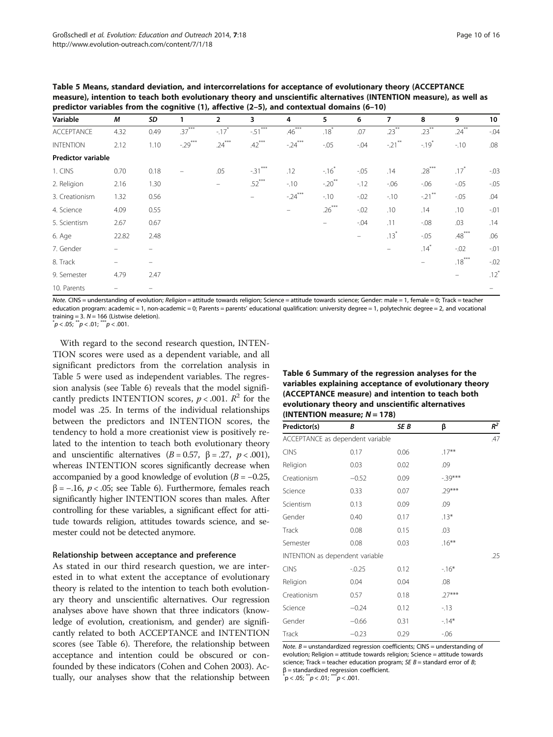| Table 5 Integris, startuard deviation, and intercorrelations for acceptance of evolutionary theory (ACCEFTANCE<br>measure), intention to teach both evolutionary theory and unscientific alternatives (INTENTION measure), as well as<br>predictor variables from the cognitive $(1)$ , affective $(2-5)$ , and contextual domains $(6-10)$ |   |      |             |                 |                         |                 |    |  |    |
|---------------------------------------------------------------------------------------------------------------------------------------------------------------------------------------------------------------------------------------------------------------------------------------------------------------------------------------------|---|------|-------------|-----------------|-------------------------|-----------------|----|--|----|
| Variable                                                                                                                                                                                                                                                                                                                                    | м | -SD. | $1 \quad 2$ | $\sim$ 3 $\sim$ | $\overline{\mathbf{4}}$ | $\sim$ 5 $\sim$ | 6. |  | 10 |

<span id="page-9-0"></span>Table 5 Means, standard deviation, and intercorrelations for acceptance of evolutionary theory (ACCEPTANCE

| variable                  | M     | שנ                       |                          | 2                        | 3.                   | 4         | ь                        | ь                        |                      | 8                    | У        | 10        |
|---------------------------|-------|--------------------------|--------------------------|--------------------------|----------------------|-----------|--------------------------|--------------------------|----------------------|----------------------|----------|-----------|
| <b>ACCEPTANCE</b>         | 4.32  | 0.49                     | $.37***$                 | $-.17$ <sup>*</sup>      | $-51$ <sup>***</sup> | $.46***$  | $.18^*$                  | .07                      | $.23***$             | $.23***$             | $.24***$ | $-.04$    |
| <b>INTENTION</b>          | 2.12  | 1.10                     | $-29***$                 | .24***                   | $.42***$             | $-.24***$ | $-0.05$                  | $-0.04$                  | $-.21$ <sup>**</sup> | $-19$ <sup>*</sup>   | $-10$    | .08       |
| <b>Predictor variable</b> |       |                          |                          |                          |                      |           |                          |                          |                      |                      |          |           |
| 1. CINS                   | 0.70  | 0.18                     | $\overline{\phantom{0}}$ | .05                      | $-31***$             | .12       | $-16*$                   | $-.05$                   | .14                  | $.28***$             | $.17*$   | $-.03$    |
| 2. Religion               | 2.16  | 1.30                     |                          | $\overline{\phantom{m}}$ | $.52***$             | $-10$     | $-.20$ <sup>**</sup>     | $-12$                    | $-06$                | $-06$                | $-0.05$  | $-.05$    |
| 3. Creationism            | 1.32  | 0.56                     |                          |                          | $\equiv$             | $-.24***$ | $-10$                    | $-0.02$                  | $-10$                | $-.21$ <sup>**</sup> | $-0.05$  | .04       |
| 4. Science                | 4.09  | 0.55                     |                          |                          |                      | -         | $.26***$                 | $-0.02$                  | .10                  | .14                  | .10      | $-.01$    |
| 5. Scientism              | 2.67  | 0.67                     |                          |                          |                      |           | $\overline{\phantom{0}}$ | $-0.04$                  | .11                  | $-0.08$              | .03      | .14       |
| 6. Age                    | 22.82 | 2.48                     |                          |                          |                      |           |                          | $\overline{\phantom{m}}$ | $.13*$               | $-0.05$              | $.48***$ | .06       |
| 7. Gender                 | -     | -                        |                          |                          |                      |           |                          |                          | $\qquad \qquad -$    | $.14*$               | $-0.02$  | $-.01$    |
| 8. Track                  | -     | $\overline{\phantom{m}}$ |                          |                          |                      |           |                          |                          |                      | -                    | $.18***$ | $-0.02$   |
| 9. Semester               | 4.79  | 2.47                     |                          |                          |                      |           |                          |                          |                      |                      | -        | $.12^{*}$ |
| 10. Parents               |       |                          |                          |                          |                      |           |                          |                          |                      |                      |          |           |

Note. CINS = understanding of evolution; Religion = attitude towards religion; Science = attitude towards science; Gender: male = 1, female = 0; Track = teacher education program: academic = 1, non-academic = 0; Parents = parents' educational qualification: university degree = 1, polytechnic degree = 2, and vocational training = 3.  $N = 166$  (Listwise deletion).

 $p < .05$ ;  $p < .01$ ;  $p > .001$ .

With regard to the second research question, INTEN-TION scores were used as a dependent variable, and all significant predictors from the correlation analysis in Table 5 were used as independent variables. The regression analysis (see Table 6) reveals that the model significantly predicts INTENTION scores,  $p < .001$ .  $R^2$  for the model was .25. In terms of the individual relationships between the predictors and INTENTION scores, the tendency to hold a more creationist view is positively related to the intention to teach both evolutionary theory and unscientific alternatives  $(B = 0.57, \beta = .27, p < .001)$ , whereas INTENTION scores significantly decrease when accompanied by a good knowledge of evolution  $(B = -0.25$ , β = −.16, p < .05; see Table 6). Furthermore, females reach significantly higher INTENTION scores than males. After controlling for these variables, a significant effect for attitude towards religion, attitudes towards science, and semester could not be detected anymore.

#### Relationship between acceptance and preference

As stated in our third research question, we are interested in to what extent the acceptance of evolutionary theory is related to the intention to teach both evolutionary theory and unscientific alternatives. Our regression analyses above have shown that three indicators (knowledge of evolution, creationism, and gender) are significantly related to both ACCEPTANCE and INTENTION scores (see Table 6). Therefore, the relationship between acceptance and intention could be obscured or confounded by these indicators (Cohen and Cohen [2003](#page-14-0)). Actually, our analyses show that the relationship between

| Table 6 Summary of the regression analyses for the     |
|--------------------------------------------------------|
| variables explaining acceptance of evolutionary theory |
| (ACCEPTANCE measure) and intention to teach both       |
| evolutionary theory and unscientific alternatives      |
| (INTENTION measure; $N = 178$ )                        |

| Predictor(s)                     | B       | SE B | β        | $\ensuremath{\mathnormal{R}}^2$ |  |  |  |  |
|----------------------------------|---------|------|----------|---------------------------------|--|--|--|--|
| ACCEPTANCE as dependent variable |         |      |          |                                 |  |  |  |  |
| <b>CINS</b>                      | 0.17    | 0.06 | $.17***$ |                                 |  |  |  |  |
| Religion                         | 0.03    | 0.02 | .09      |                                 |  |  |  |  |
| Creationism                      | $-0.52$ | 0.09 | $-39***$ |                                 |  |  |  |  |
| Science                          | 0.33    | 0.07 | $.29***$ |                                 |  |  |  |  |
| Scientism                        | 0.13    | 0.09 | .09      |                                 |  |  |  |  |
| Gender                           | 0.40    | 0.17 | $.13*$   |                                 |  |  |  |  |
| Track                            | 0.08    | 0.15 | .03      |                                 |  |  |  |  |
| Semester                         | 0.08    | 0.03 | $.16***$ |                                 |  |  |  |  |
| INTENTION as dependent variable  |         |      |          | .25                             |  |  |  |  |
| <b>CINS</b>                      | $-0.25$ | 0.12 | $-16*$   |                                 |  |  |  |  |
| Religion                         | 0.04    | 0.04 | .08      |                                 |  |  |  |  |
| Creationism                      | 0.57    | 0.18 | $.27***$ |                                 |  |  |  |  |
| Science                          | $-0.24$ | 0.12 | $-13$    |                                 |  |  |  |  |
| Gender                           | $-0.66$ | 0.31 | $-14*$   |                                 |  |  |  |  |
| Track                            | $-0.23$ | 0.29 | $-06$    |                                 |  |  |  |  |

Note.  $B =$  unstandardized regression coefficients; CINS = understanding of evolution; Religion = attitude towards religion; Science = attitude towards science; Track = teacher education program;  $SE B =$  standard error of  $B$ ;  $β = standardized regression coefficient.$ 

 $p < .05;$  \*\*\*p < .01; \*\*\*p < .001.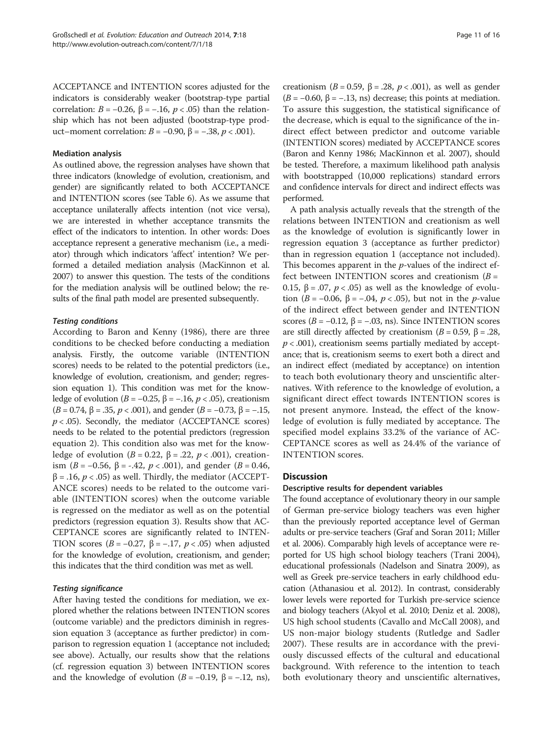ACCEPTANCE and INTENTION scores adjusted for the indicators is considerably weaker (bootstrap-type partial correlation:  $B = -0.26$ ,  $\beta = -.16$ ,  $p < .05$ ) than the relationship which has not been adjusted (bootstrap-type product–moment correlation: *B* = −0.90, β = −.38, *p* < .001).

#### Mediation analysis

As outlined above, the regression analyses have shown that three indicators (knowledge of evolution, creationism, and gender) are significantly related to both ACCEPTANCE and INTENTION scores (see Table [6\)](#page-9-0). As we assume that acceptance unilaterally affects intention (not vice versa), we are interested in whether acceptance transmits the effect of the indicators to intention. In other words: Does acceptance represent a generative mechanism (i.e., a mediator) through which indicators 'affect' intention? We performed a detailed mediation analysis (MacKinnon et al. [2007\)](#page-14-0) to answer this question. The tests of the conditions for the mediation analysis will be outlined below; the results of the final path model are presented subsequently.

#### Testing conditions

According to Baron and Kenny [\(1986\)](#page-13-0), there are three conditions to be checked before conducting a mediation analysis. Firstly, the outcome variable (INTENTION scores) needs to be related to the potential predictors (i.e., knowledge of evolution, creationism, and gender; regression equation 1). This condition was met for the knowledge of evolution ( $B = -0.25$ ,  $\beta = -.16$ ,  $p < .05$ ), creationism ( $B = 0.74$ ,  $\beta = .35$ ,  $p < .001$ ), and gender ( $B = -0.73$ ,  $\beta = -.15$ ,  $p < .05$ ). Secondly, the mediator (ACCEPTANCE scores) needs to be related to the potential predictors (regression equation 2). This condition also was met for the knowledge of evolution ( $B = 0.22$ ,  $\beta = .22$ ,  $p < .001$ ), creationism (*B* = −0.56, β = −.42, *p* < .001), and gender (*B* = 0.46,  $β = .16, p < .05)$  as well. Thirdly, the mediator (ACCEPT-ANCE scores) needs to be related to the outcome variable (INTENTION scores) when the outcome variable is regressed on the mediator as well as on the potential predictors (regression equation 3). Results show that AC-CEPTANCE scores are significantly related to INTEN-TION scores ( $B = -0.27$ ,  $\beta = -0.17$ ,  $p < 0.05$ ) when adjusted for the knowledge of evolution, creationism, and gender; this indicates that the third condition was met as well.

#### Testing significance

After having tested the conditions for mediation, we explored whether the relations between INTENTION scores (outcome variable) and the predictors diminish in regression equation 3 (acceptance as further predictor) in comparison to regression equation 1 (acceptance not included; see above). Actually, our results show that the relations (cf. regression equation 3) between INTENTION scores and the knowledge of evolution  $(B = -0.19, \beta = -.12, \text{ ns})$ ,

creationism ( $B = 0.59$ ,  $\beta = .28$ ,  $p < .001$ ), as well as gender  $(B = -0.60, \beta = -.13, \text{ns})$  decrease; this points at mediation. To assure this suggestion, the statistical significance of the decrease, which is equal to the significance of the indirect effect between predictor and outcome variable (INTENTION scores) mediated by ACCEPTANCE scores (Baron and Kenny [1986;](#page-13-0) MacKinnon et al. [2007\)](#page-14-0), should be tested. Therefore, a maximum likelihood path analysis with bootstrapped (10,000 replications) standard errors and confidence intervals for direct and indirect effects was performed.

A path analysis actually reveals that the strength of the relations between INTENTION and creationism as well as the knowledge of evolution is significantly lower in regression equation 3 (acceptance as further predictor) than in regression equation 1 (acceptance not included). This becomes apparent in the  $p$ -values of the indirect effect between INTENTION scores and creationism  $(B =$ 0.15,  $β = .07$ ,  $p < .05$ ) as well as the knowledge of evolution ( $B = -0.06$ ,  $\beta = -.04$ ,  $p < .05$ ), but not in the *p*-value of the indirect effect between gender and INTENTION scores ( $B = -0.12$ ,  $\beta = -.03$ , ns). Since INTENTION scores are still directly affected by creationism ( $B = 0.59$ , β = .28,  $p < .001$ ), creationism seems partially mediated by acceptance; that is, creationism seems to exert both a direct and an indirect effect (mediated by acceptance) on intention to teach both evolutionary theory and unscientific alternatives. With reference to the knowledge of evolution, a significant direct effect towards INTENTION scores is not present anymore. Instead, the effect of the knowledge of evolution is fully mediated by acceptance. The specified model explains 33.2% of the variance of AC-CEPTANCE scores as well as 24.4% of the variance of INTENTION scores.

## **Discussion**

#### Descriptive results for dependent variables

The found acceptance of evolutionary theory in our sample of German pre-service biology teachers was even higher than the previously reported acceptance level of German adults or pre-service teachers (Graf and Soran [2011;](#page-14-0) Miller et al. [2006](#page-14-0)). Comparably high levels of acceptance were reported for US high school biology teachers (Trani [2004](#page-15-0)), educational professionals (Nadelson and Sinatra [2009\)](#page-14-0), as well as Greek pre-service teachers in early childhood education (Athanasiou et al. [2012\)](#page-13-0). In contrast, considerably lower levels were reported for Turkish pre-service science and biology teachers (Akyol et al. [2010;](#page-13-0) Deniz et al. [2008](#page-14-0)), US high school students (Cavallo and McCall [2008](#page-14-0)), and US non-major biology students (Rutledge and Sadler [2007\)](#page-14-0). These results are in accordance with the previously discussed effects of the cultural and educational background. With reference to the intention to teach both evolutionary theory and unscientific alternatives,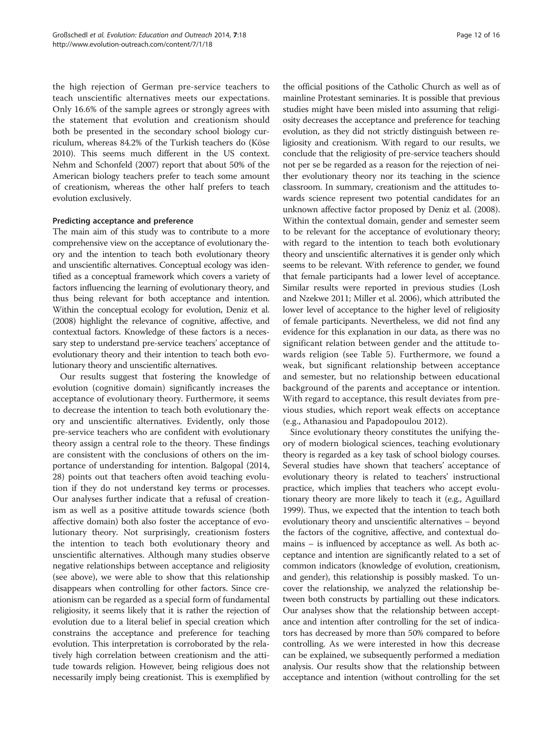the high rejection of German pre-service teachers to teach unscientific alternatives meets our expectations. Only 16.6% of the sample agrees or strongly agrees with the statement that evolution and creationism should both be presented in the secondary school biology curriculum, whereas 84.2% of the Turkish teachers do (Köse [2010\)](#page-14-0). This seems much different in the US context. Nehm and Schonfeld ([2007](#page-14-0)) report that about 50% of the American biology teachers prefer to teach some amount of creationism, whereas the other half prefers to teach evolution exclusively.

## Predicting acceptance and preference

The main aim of this study was to contribute to a more comprehensive view on the acceptance of evolutionary theory and the intention to teach both evolutionary theory and unscientific alternatives. Conceptual ecology was identified as a conceptual framework which covers a variety of factors influencing the learning of evolutionary theory, and thus being relevant for both acceptance and intention. Within the conceptual ecology for evolution, Deniz et al. ([2008\)](#page-14-0) highlight the relevance of cognitive, affective, and contextual factors. Knowledge of these factors is a necessary step to understand pre-service teachers' acceptance of evolutionary theory and their intention to teach both evolutionary theory and unscientific alternatives.

Our results suggest that fostering the knowledge of evolution (cognitive domain) significantly increases the acceptance of evolutionary theory. Furthermore, it seems to decrease the intention to teach both evolutionary theory and unscientific alternatives. Evidently, only those pre-service teachers who are confident with evolutionary theory assign a central role to the theory. These findings are consistent with the conclusions of others on the importance of understanding for intention. Balgopal ([2014](#page-13-0), 28) points out that teachers often avoid teaching evolution if they do not understand key terms or processes. Our analyses further indicate that a refusal of creationism as well as a positive attitude towards science (both affective domain) both also foster the acceptance of evolutionary theory. Not surprisingly, creationism fosters the intention to teach both evolutionary theory and unscientific alternatives. Although many studies observe negative relationships between acceptance and religiosity (see above), we were able to show that this relationship disappears when controlling for other factors. Since creationism can be regarded as a special form of fundamental religiosity, it seems likely that it is rather the rejection of evolution due to a literal belief in special creation which constrains the acceptance and preference for teaching evolution. This interpretation is corroborated by the relatively high correlation between creationism and the attitude towards religion. However, being religious does not necessarily imply being creationist. This is exemplified by

the official positions of the Catholic Church as well as of mainline Protestant seminaries. It is possible that previous studies might have been misled into assuming that religiosity decreases the acceptance and preference for teaching evolution, as they did not strictly distinguish between religiosity and creationism. With regard to our results, we conclude that the religiosity of pre-service teachers should not per se be regarded as a reason for the rejection of neither evolutionary theory nor its teaching in the science classroom. In summary, creationism and the attitudes towards science represent two potential candidates for an unknown affective factor proposed by Deniz et al. [\(2008](#page-14-0)). Within the contextual domain, gender and semester seem to be relevant for the acceptance of evolutionary theory; with regard to the intention to teach both evolutionary theory and unscientific alternatives it is gender only which seems to be relevant. With reference to gender, we found that female participants had a lower level of acceptance. Similar results were reported in previous studies (Losh and Nzekwe [2011](#page-14-0); Miller et al. [2006](#page-14-0)), which attributed the lower level of acceptance to the higher level of religiosity of female participants. Nevertheless, we did not find any evidence for this explanation in our data, as there was no significant relation between gender and the attitude towards religion (see Table [5\)](#page-9-0). Furthermore, we found a weak, but significant relationship between acceptance and semester, but no relationship between educational background of the parents and acceptance or intention. With regard to acceptance, this result deviates from previous studies, which report weak effects on acceptance (e.g., Athanasiou and Papadopoulou [2012\)](#page-13-0).

Since evolutionary theory constitutes the unifying theory of modern biological sciences, teaching evolutionary theory is regarded as a key task of school biology courses. Several studies have shown that teachers' acceptance of evolutionary theory is related to teachers' instructional practice, which implies that teachers who accept evolutionary theory are more likely to teach it (e.g., Aguillard [1999\)](#page-13-0). Thus, we expected that the intention to teach both evolutionary theory and unscientific alternatives – beyond the factors of the cognitive, affective, and contextual domains – is influenced by acceptance as well. As both acceptance and intention are significantly related to a set of common indicators (knowledge of evolution, creationism, and gender), this relationship is possibly masked. To uncover the relationship, we analyzed the relationship between both constructs by partialling out these indicators. Our analyses show that the relationship between acceptance and intention after controlling for the set of indicators has decreased by more than 50% compared to before controlling. As we were interested in how this decrease can be explained, we subsequently performed a mediation analysis. Our results show that the relationship between acceptance and intention (without controlling for the set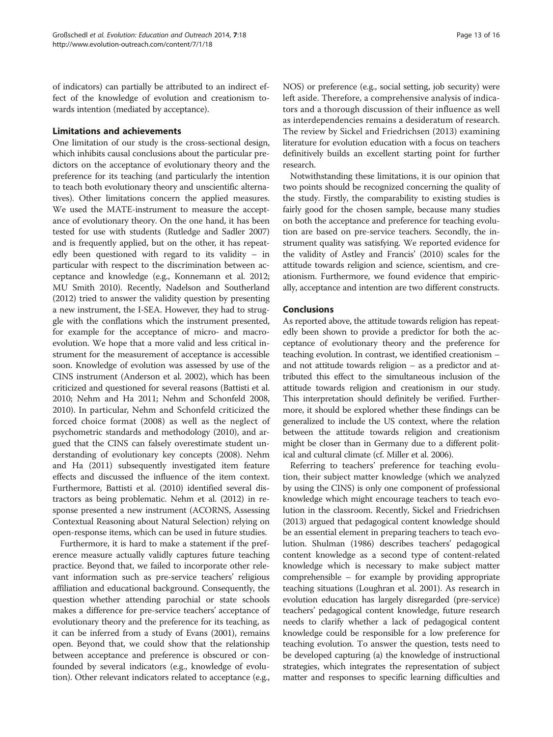of indicators) can partially be attributed to an indirect effect of the knowledge of evolution and creationism towards intention (mediated by acceptance).

## Limitations and achievements

One limitation of our study is the cross-sectional design, which inhibits causal conclusions about the particular predictors on the acceptance of evolutionary theory and the preference for its teaching (and particularly the intention to teach both evolutionary theory and unscientific alternatives). Other limitations concern the applied measures. We used the MATE-instrument to measure the acceptance of evolutionary theory. On the one hand, it has been tested for use with students (Rutledge and Sadler [2007](#page-14-0)) and is frequently applied, but on the other, it has repeatedly been questioned with regard to its validity – in particular with respect to the discrimination between acceptance and knowledge (e.g., Konnemann et al. [2012](#page-14-0); MU Smith [2010\)](#page-15-0). Recently, Nadelson and Southerland ([2012](#page-14-0)) tried to answer the validity question by presenting a new instrument, the I-SEA. However, they had to struggle with the conflations which the instrument presented, for example for the acceptance of micro- and macroevolution. We hope that a more valid and less critical instrument for the measurement of acceptance is accessible soon. Knowledge of evolution was assessed by use of the CINS instrument (Anderson et al. [2002](#page-13-0)), which has been criticized and questioned for several reasons (Battisti et al. [2010;](#page-14-0) Nehm and Ha [2011](#page-14-0); Nehm and Schonfeld [2008](#page-14-0), [2010\)](#page-14-0). In particular, Nehm and Schonfeld criticized the forced choice format ([2008\)](#page-14-0) as well as the neglect of psychometric standards and methodology ([2010](#page-14-0)), and argued that the CINS can falsely overestimate student understanding of evolutionary key concepts [\(2008\)](#page-14-0). Nehm and Ha ([2011](#page-14-0)) subsequently investigated item feature effects and discussed the influence of the item context. Furthermore, Battisti et al. [\(2010](#page-14-0)) identified several distractors as being problematic. Nehm et al. ([2012\)](#page-14-0) in response presented a new instrument (ACORNS, Assessing Contextual Reasoning about Natural Selection) relying on open-response items, which can be used in future studies.

Furthermore, it is hard to make a statement if the preference measure actually validly captures future teaching practice. Beyond that, we failed to incorporate other relevant information such as pre-service teachers' religious affiliation and educational background. Consequently, the question whether attending parochial or state schools makes a difference for pre-service teachers' acceptance of evolutionary theory and the preference for its teaching, as it can be inferred from a study of Evans [\(2001\)](#page-14-0), remains open. Beyond that, we could show that the relationship between acceptance and preference is obscured or confounded by several indicators (e.g., knowledge of evolution). Other relevant indicators related to acceptance (e.g., NOS) or preference (e.g., social setting, job security) were left aside. Therefore, a comprehensive analysis of indicators and a thorough discussion of their influence as well as interdependencies remains a desideratum of research. The review by Sickel and Friedrichsen [\(2013](#page-15-0)) examining literature for evolution education with a focus on teachers definitively builds an excellent starting point for further research.

Notwithstanding these limitations, it is our opinion that two points should be recognized concerning the quality of the study. Firstly, the comparability to existing studies is fairly good for the chosen sample, because many studies on both the acceptance and preference for teaching evolution are based on pre-service teachers. Secondly, the instrument quality was satisfying. We reported evidence for the validity of Astley and Francis' [\(2010\)](#page-13-0) scales for the attitude towards religion and science, scientism, and creationism. Furthermore, we found evidence that empirically, acceptance and intention are two different constructs.

## Conclusions

As reported above, the attitude towards religion has repeatedly been shown to provide a predictor for both the acceptance of evolutionary theory and the preference for teaching evolution. In contrast, we identified creationism – and not attitude towards religion – as a predictor and attributed this effect to the simultaneous inclusion of the attitude towards religion and creationism in our study. This interpretation should definitely be verified. Furthermore, it should be explored whether these findings can be generalized to include the US context, where the relation between the attitude towards religion and creationism might be closer than in Germany due to a different political and cultural climate (cf. Miller et al. [2006](#page-14-0)).

Referring to teachers' preference for teaching evolution, their subject matter knowledge (which we analyzed by using the CINS) is only one component of professional knowledge which might encourage teachers to teach evolution in the classroom. Recently, Sickel and Friedrichsen ([2013](#page-15-0)) argued that pedagogical content knowledge should be an essential element in preparing teachers to teach evolution. Shulman ([1986](#page-15-0)) describes teachers' pedagogical content knowledge as a second type of content-related knowledge which is necessary to make subject matter comprehensible – for example by providing appropriate teaching situations (Loughran et al. [2001](#page-14-0)). As research in evolution education has largely disregarded (pre-service) teachers' pedagogical content knowledge, future research needs to clarify whether a lack of pedagogical content knowledge could be responsible for a low preference for teaching evolution. To answer the question, tests need to be developed capturing (a) the knowledge of instructional strategies, which integrates the representation of subject matter and responses to specific learning difficulties and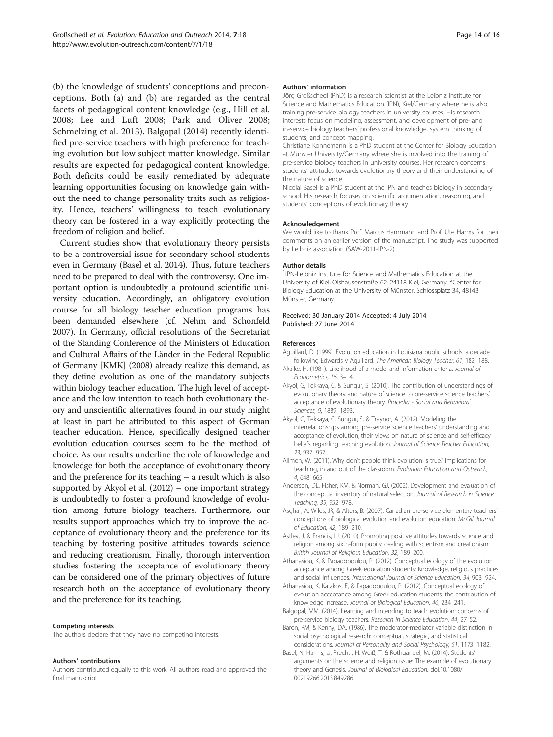<span id="page-13-0"></span>(b) the knowledge of students' conceptions and preconceptions. Both (a) and (b) are regarded as the central facets of pedagogical content knowledge (e.g., Hill et al. [2008;](#page-14-0) Lee and Luft [2008](#page-14-0); Park and Oliver [2008](#page-14-0); Schmelzing et al. [2013](#page-15-0)). Balgopal (2014) recently identified pre-service teachers with high preference for teaching evolution but low subject matter knowledge. Similar results are expected for pedagogical content knowledge. Both deficits could be easily remediated by adequate learning opportunities focusing on knowledge gain without the need to change personality traits such as religiosity. Hence, teachers' willingness to teach evolutionary theory can be fostered in a way explicitly protecting the freedom of religion and belief.

Current studies show that evolutionary theory persists to be a controversial issue for secondary school students even in Germany (Basel et al. 2014). Thus, future teachers need to be prepared to deal with the controversy. One important option is undoubtedly a profound scientific university education. Accordingly, an obligatory evolution course for all biology teacher education programs has been demanded elsewhere (cf. Nehm and Schonfeld [2007\)](#page-14-0). In Germany, official resolutions of the Secretariat of the Standing Conference of the Ministers of Education and Cultural Affairs of the Länder in the Federal Republic of Germany [KMK] ([2008](#page-15-0)) already realize this demand, as they define evolution as one of the mandatory subjects within biology teacher education. The high level of acceptance and the low intention to teach both evolutionary theory and unscientific alternatives found in our study might at least in part be attributed to this aspect of German teacher education. Hence, specifically designed teacher evolution education courses seem to be the method of choice. As our results underline the role of knowledge and knowledge for both the acceptance of evolutionary theory and the preference for its teaching – a result which is also supported by Akyol et al. (2012) – one important strategy is undoubtedly to foster a profound knowledge of evolution among future biology teachers. Furthermore, our results support approaches which try to improve the acceptance of evolutionary theory and the preference for its teaching by fostering positive attitudes towards science and reducing creationism. Finally, thorough intervention studies fostering the acceptance of evolutionary theory can be considered one of the primary objectives of future research both on the acceptance of evolutionary theory and the preference for its teaching.

#### Competing interests

The authors declare that they have no competing interests.

#### Authors' contributions

Authors contributed equally to this work. All authors read and approved the final manuscript.

#### Authors' information

Jörg Großschedl (PhD) is a research scientist at the Leibniz Institute for Science and Mathematics Education (IPN), Kiel/Germany where he is also training pre-service biology teachers in university courses. His research interests focus on modeling, assessment, and development of pre- and in-service biology teachers' professional knowledge, system thinking of students, and concept mapping.

Christiane Konnemann is a PhD student at the Center for Biology Education at Münster University/Germany where she is involved into the training of pre-service biology teachers in university courses. Her research concerns students' attitudes towards evolutionary theory and their understanding of the nature of science.

Nicolai Basel is a PhD student at the IPN and teaches biology in secondary school. His research focuses on scientific argumentation, reasoning, and students' conceptions of evolutionary theory.

#### Acknowledgement

We would like to thank Prof. Marcus Hammann and Prof. Ute Harms for their comments on an earlier version of the manuscript. The study was supported by Leibniz association (SAW-2011-IPN-2).

#### Author details

<sup>1</sup> IPN-Leibniz Institute for Science and Mathematics Education at the University of Kiel, Olshausenstraße 62, 24118 Kiel, Germany. <sup>2</sup>Center for Biology Education at the University of Münster, Schlossplatz 34, 48143 Münster, Germany.

#### Received: 30 January 2014 Accepted: 4 July 2014 Published: 27 June 2014

#### References

- Aguillard, D. (1999). Evolution education in Louisiana public schools: a decade following Edwards v Aguillard. The American Biology Teacher, 61, 182–188.
- Akaike, H. (1981). Likelihood of a model and information criteria. Journal of Econometrics, 16, 3–14.
- Akyol, G, Tekkaya, C, & Sungur, S. (2010). The contribution of understandings of evolutionary theory and nature of science to pre-service science teachers' acceptance of evolutionary theory. Procedia - Social and Behavioral Sciences, 9, 1889–1893.
- Akyol, G, Tekkaya, C, Sungur, S, & Traynor, A. (2012). Modeling the interrelationships among pre-service science teachers' understanding and acceptance of evolution, their views on nature of science and self-efficacy beliefs regarding teaching evolution. Journal of Science Teacher Education, 23, 937–957.
- Allmon, W. (2011). Why don't people think evolution is true? Implications for teaching, in and out of the classroom. Evolution: Education and Outreach, 4, 648–665.
- Anderson, DL, Fisher, KM, & Norman, GJ. (2002). Development and evaluation of the conceptual inventory of natural selection. Journal of Research in Science Teaching, 39, 952–978.
- Asghar, A, Wiles, JR, & Alters, B. (2007). Canadian pre-service elementary teachers' conceptions of biological evolution and evolution education. McGill Journal of Education, 42, 189–210.
- Astley, J, & Francis, LJ. (2010). Promoting positive attitudes towards science and religion among sixth-form pupils: dealing with scientism and creationism. British Journal of Religious Education, 32, 189–200.
- Athanasiou, K, & Papadopoulou, P. (2012). Conceptual ecology of the evolution acceptance among Greek education students: Knowledge, religious practices and social influences. International Journal of Science Education, 34, 903–924.
- Athanasiou, K, Katakos, E, & Papadopoulou, P. (2012). Conceptual ecology of evolution acceptance among Greek education students: the contribution of knowledge increase. Journal of Biological Education, 46, 234–241.
- Balgopal, MM. (2014). Learning and intending to teach evolution: concerns of pre-service biology teachers. Research in Science Education, 44, 27–52.
- Baron, RM, & Kenny, DA. (1986). The moderator-mediator variable distinction in social psychological research: conceptual, strategic, and statistical considerations. Journal of Personality and Social Psychology, 51, 1173–1182.
- Basel, N, Harms, U, Prechtl, H, Weiß, T, & Rothgangel, M. (2014). Students' arguments on the science and religion issue: The example of evolutionary theory and Genesis. Journal of Biological Education. doi:10.1080/ 00219266.2013.849286.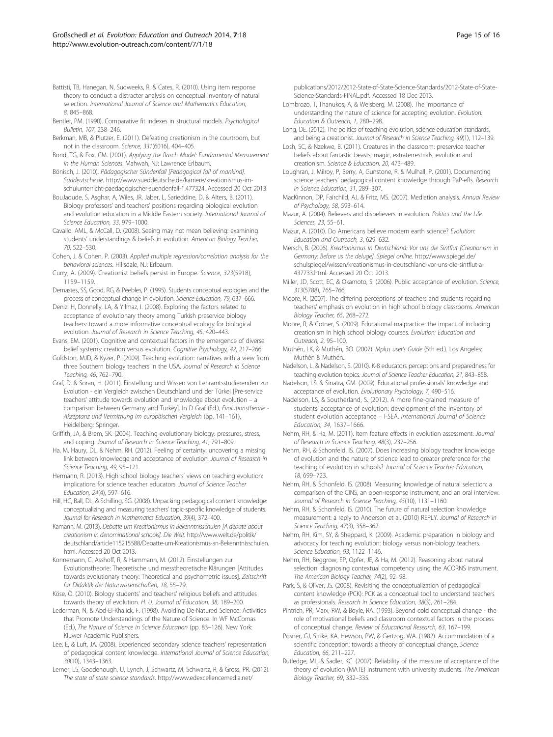<span id="page-14-0"></span>Bentler, PM. (1990). Comparative fit indexes in structural models. Psychological Bulletin, 107, 238–246.

- Berkman, MB, & Plutzer, E. (2011). Defeating creationism in the courtroom, but not in the classroom. Science, 331(6016), 404–405.
- Bond, TG, & Fox, CM. (2001). Applying the Rasch Model: Fundamental Measurement in the Human Sciences. Mahwah, NJ: Lawrence Erlbaum.
- Bönisch, J. (2010). Pädagogischer Sündenfall [Pedagogical fall of mankind]. Süddeutsche.de. [http://www.sueddeutsche.de/karriere/kreationismus-im](http://www.sueddeutsche.de/karriere/kreationismus-im-schulunterricht-paedagogischer-suendenfall-1.477324)[schulunterricht-paedagogischer-suendenfall-1.477324](http://www.sueddeutsche.de/karriere/kreationismus-im-schulunterricht-paedagogischer-suendenfall-1.477324). Accessed 20 Oct 2013.
- BouJaoude, S, Asghar, A, Wiles, JR, Jaber, L, Sarieddine, D, & Alters, B. (2011). Biology professors' and teachers' positions regarding biological evolution and evolution education in a Middle Eastern society. International Journal of Science Education, 33, 979–1000.
- Cavallo, AML, & McCall, D. (2008). Seeing may not mean believing: examining students' understandings & beliefs in evolution. American Biology Teacher, 70, 522–530.
- Cohen, J, & Cohen, P. (2003). Applied multiple regression/correlation analysis for the behavioral sciences. Hillsdale, NJ: Erlbaum.
- Curry, A. (2009). Creationist beliefs persist in Europe. Science, 323(5918), 1159–1159.
- Demastes, SS, Good, RG, & Peebles, P. (1995). Students conceptual ecologies and the process of conceptual change in evolution. Science Education, 79, 637–666.
- Deniz, H, Donnelly, LA, & Yilmaz, I. (2008). Exploring the factors related to acceptance of evolutionary theory among Turkish preservice biology teachers: toward a more informative conceptual ecology for biological evolution. Journal of Research in Science Teaching, 45, 420–443.
- Evans, EM. (2001). Cognitive and contextual factors in the emergence of diverse belief systems: creation versus evolution. Cognitive Psychology, 42, 217–266.
- Goldston, MJD, & Kyzer, P. (2009). Teaching evolution: narratives with a view from three Southern biology teachers in the USA. Journal of Research in Science Teaching, 46, 762–790.
- Graf, D, & Soran, H. (2011). Einstellung und Wissen von Lehramtsstudierenden zur Evolution - ein Vergleich zwischen Deutschland und der Türkei [Pre-service teachers' attitude towards evolution and knowledge about evolution – a comparison between Germany and Turkey]. In D Graf (Ed.), Evolutionstheorie - Akzeptanz und Vermittlung im europäischen Vergleich (pp. 141–161). Heidelberg: Springer.
- Griffith, JA, & Brem, SK. (2004). Teaching evolutionary biology: pressures, stress, and coping. Journal of Research in Science Teaching, 41, 791–809.
- Ha, M, Haury, DL, & Nehm, RH. (2012). Feeling of certainty: uncovering a missing link between knowledge and acceptance of evolution. Journal of Research in Science Teaching, 49, 95–121.
- Hermann, R. (2013). High school biology teachers' views on teaching evolution: implications for science teacher educators. Journal of Science Teacher Education, 24(4), 597–616.
- Hill, HC, Ball, DL, & Schilling, SG. (2008). Unpacking pedagogical content knowledge: conceptualizing and measuring teachers' topic-specific knowledge of students. Journal for Research in Mathematics Education, 39(4), 372–400.
- Kamann, M. (2013). Debatte um Kreationismus in Bekenntnisschulen [A debate about creationism in denominational schools]. Die Welt. [http://www.welt.de/politik/](http://www.welt.de/politik/deutschland/article115215588/Debatte-um-Kreationismus-an-Bekenntnisschulen.html) [deutschland/article115215588/Debatte-um-Kreationismus-an-Bekenntnisschulen.](http://www.welt.de/politik/deutschland/article115215588/Debatte-um-Kreationismus-an-Bekenntnisschulen.html) [html.](http://www.welt.de/politik/deutschland/article115215588/Debatte-um-Kreationismus-an-Bekenntnisschulen.html) Accessed 20 Oct 2013.
- Konnemann, C, Asshoff, R, & Hammann, M. (2012). Einstellungen zur Evolutionstheorie: Theoretische und messtheoretische Klärungen [Attitudes towards evolutionary theory: Theoretical and psychometric issues]. Zeitschrift für Didaktik der Naturwissenschaften, 18, 55–79.
- Köse, Ö. (2010). Biology students' and teachers' religious beliefs and attitudes towards theory of evolution. H. U. Journal of Education, 38, 189–200.
- Lederman, N, & Abd-El-Khalick, F. (1998). Avoiding De-Natured Science: Activities that Promote Understandings of the Nature of Science. In WF McComas (Ed.), The Nature of Science in Science Education (pp. 83–126). New York: Kluwer Academic Publishers.
- Lee, E, & Luft, JA. (2008). Experienced secondary science teachers' representation of pedagogical content knowledge. International Journal of Science Education, 30(10), 1343–1363.
- Lerner, LS, Goodenough, U, Lynch, J, Schwartz, M, Schwartz, R, & Gross, PR. (2012). The state of state science standards. [http://www.edexcellencemedia.net/](http://www.edexcellencemedia.net/publications/2012/2012-State-of-State-Science-Standards/2012-State-of-State-Science-Standards-FINAL.pdf)

[publications/2012/2012-State-of-State-Science-Standards/2012-State-of-State-](http://www.edexcellencemedia.net/publications/2012/2012-State-of-State-Science-Standards/2012-State-of-State-Science-Standards-FINAL.pdf)[Science-Standards-FINAL.pdf.](http://www.edexcellencemedia.net/publications/2012/2012-State-of-State-Science-Standards/2012-State-of-State-Science-Standards-FINAL.pdf) Accessed 18 Dec 2013.

- Lombrozo, T, Thanukos, A, & Weisberg, M. (2008). The importance of understanding the nature of science for accepting evolution. Evolution: Education & Outreach, 1, 280-298.
- Long, DE. (2012). The politics of teaching evolution, science education standards, and being a creationist. Journal of Research in Science Teaching, 49(1), 112–139.
- Losh, SC, & Nzekwe, B. (2011). Creatures in the classroom: preservice teacher beliefs about fantastic beasts, magic, extraterrestrials, evolution and creationism. Science & Education, 20, 473–489.
- Loughran, J, Milroy, P, Berry, A, Gunstone, R, & Mulhall, P. (2001). Documenting science teachers' pedagogical content knowledge through PaP-eRs. Research in Science Education, 31, 289–307.
- MacKinnon, DP, Fairchild, AJ, & Fritz, MS. (2007). Mediation analysis. Annual Review of Psychology, 58, 593–614.
- Mazur, A. (2004). Believers and disbelievers in evolution. Politics and the Life Sciences, 23, 55–61.
- Mazur, A. (2010). Do Americans believe modern earth science? Evolution: Education and Outreach, 3, 629–632.
- Mersch, B. (2006). Kreationismus in Deutschland: Vor uns die Sintflut [Creationism in Germany: Before us the deluge]. Spiegel online. [http://www.spiegel.de/](http://www.spiegel.de/schulspiegel/wissen/kreationismus-in-deutschland-vor-uns-die-sintflut-a-437733.html) [schulspiegel/wissen/kreationismus-in-deutschland-vor-uns-die-sintflut-a-](http://www.spiegel.de/schulspiegel/wissen/kreationismus-in-deutschland-vor-uns-die-sintflut-a-437733.html)[437733.html.](http://www.spiegel.de/schulspiegel/wissen/kreationismus-in-deutschland-vor-uns-die-sintflut-a-437733.html) Accessed 20 Oct 2013.
- Miller, JD, Scott, EC, & Okamoto, S. (2006). Public acceptance of evolution. Science, 313(5788), 765–766.
- Moore, R. (2007). The differing perceptions of teachers and students regarding teachers' emphasis on evolution in high school biology classrooms. American Biology Teacher, 65, 268–272.
- Moore, R, & Cotner, S. (2009). Educational malpractice: the impact of including creationism in high school biology courses. Evolution: Education and Outreach, 2, 95–100.
- Muthén, LK, & Muthén, BO. (2007). Mplus user's Guide (5th ed.). Los Angeles: Muthén & Muthén.
- Nadelson, L, & Nadelson, S. (2010). K-8 educators perceptions and preparedness for teaching evolution topics. Journal of Science Teacher Education, 21, 843–858.
- Nadelson, LS, & Sinatra, GM. (2009). Educational professionals' knowledge and acceptance of evolution. Evolutionary Psychology, 7, 490–516.
- Nadelson, LS, & Southerland, S. (2012). A more fine-grained measure of students' acceptance of evolution: development of the inventory of student evolution acceptance – I-SEA. International Journal of Science Education, 34, 1637–1666.
- Nehm, RH, & Ha, M. (2011). Item feature effects in evolution assessment. Journal of Research in Science Teaching, 48(3), 237–256.
- Nehm, RH, & Schonfeld, IS. (2007). Does increasing biology teacher knowledge of evolution and the nature of science lead to greater preference for the teaching of evolution in schools? Journal of Science Teacher Education, 18, 699–723.
- Nehm, RH, & Schonfeld, IS. (2008). Measuring knowledge of natural selection: a comparison of the CINS, an open-response instrument, and an oral interview. Journal of Research in Science Teaching, 45(10), 1131–1160.
- Nehm, RH, & Schonfeld, IS. (2010). The future of natural selection knowledge measurement: a reply to Anderson et al. (2010) REPLY. Journal of Research in Science Teaching, 47(3), 358–362.
- Nehm, RH, Kim, SY, & Sheppard, K. (2009). Academic preparation in biology and advocacy for teaching evolution: biology versus non-biology teachers. Science Education, 93, 1122–1146.
- Nehm, RH, Beggrow, EP, Opfer, JE, & Ha, M. (2012). Reasoning about natural selection: diagnosing contextual competency using the ACORNS instrument. The American Biology Teacher, 74(2), 92–98.
- Park, S, & Oliver, JS. (2008). Revisiting the conceptualization of pedagogical content knowledge (PCK): PCK as a conceptual tool to understand teachers as professionals. Research in Science Education, 38(3), 261–284.
- Pintrich, PR, Marx, RW, & Boyle, RA. (1993). Beyond cold conceptual change the role of motivational beliefs and classroom contextual factors in the process of conceptual change. Review of Educational Research, 63, 167–199.
- Posner, GJ, Strike, KA, Hewson, PW, & Gertzog, WA. (1982). Accommodation of a scientific conception: towards a theory of conceptual change. Science Education, 66, 211–227.
- Rutledge, ML, & Sadler, KC. (2007). Reliability of the measure of acceptance of the theory of evolution (MATE) instrument with university students. The American Biology Teacher, 69, 332–335.